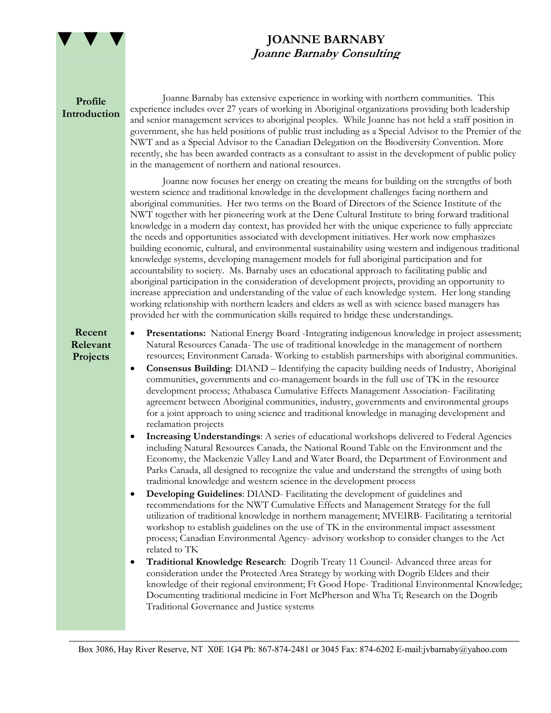

## **JOANNE BARNABY Joanne Barnaby Consulting**

## **Profile Introduction**

Joanne Barnaby has extensive experience in working with northern communities. This experience includes over 27 years of working in Aboriginal organizations providing both leadership and senior management services to aboriginal peoples. While Joanne has not held a staff position in government, she has held positions of public trust including as a Special Advisor to the Premier of the NWT and as a Special Advisor to the Canadian Delegation on the Biodiversity Convention. More recently, she has been awarded contracts as a consultant to assist in the development of public policy in the management of northern and national resources.

Joanne now focuses her energy on creating the means for building on the strengths of both western science and traditional knowledge in the development challenges facing northern and aboriginal communities. Her two terms on the Board of Directors of the Science Institute of the NWT together with her pioneering work at the Dene Cultural Institute to bring forward traditional knowledge in a modern day context, has provided her with the unique experience to fully appreciate the needs and opportunities associated with development initiatives. Her work now emphasizes building economic, cultural, and environmental sustainability using western and indigenous traditional knowledge systems, developing management models for full aboriginal participation and for accountability to society. Ms. Barnaby uses an educational approach to facilitating public and aboriginal participation in the consideration of development projects, providing an opportunity to increase appreciation and understanding of the value of each knowledge system. Her long standing working relationship with northern leaders and elders as well as with science based managers has provided her with the communication skills required to bridge these understandings.

## **Recent Relevant Projects**

• **Presentations:** National Energy Board -Integrating indigenous knowledge in project assessment; Natural Resources Canada- The use of traditional knowledge in the management of northern resources; Environment Canada- Working to establish partnerships with aboriginal communities.

- **Consensus Building**: DIAND Identifying the capacity building needs of Industry, Aboriginal communities, governments and co-management boards in the full use of TK in the resource development process; Athabasca Cumulative Effects Management Association- Facilitating agreement between Aboriginal communities, industry, governments and environmental groups for a joint approach to using science and traditional knowledge in managing development and reclamation projects
- **Increasing Understandings**: A series of educational workshops delivered to Federal Agencies including Natural Resources Canada, the National Round Table on the Environment and the Economy, the Mackenzie Valley Land and Water Board, the Department of Environment and Parks Canada, all designed to recognize the value and understand the strengths of using both traditional knowledge and western science in the development process
- **Developing Guidelines**: DIAND- Facilitating the development of guidelines and recommendations for the NWT Cumulative Effects and Management Strategy for the full utilization of traditional knowledge in northern management; MVEIRB- Facilitating a territorial workshop to establish guidelines on the use of TK in the environmental impact assessment process; Canadian Environmental Agency- advisory workshop to consider changes to the Act related to TK
- **Traditional Knowledge Research**: Dogrib Treaty 11 Council- Advanced three areas for consideration under the Protected Area Strategy by working with Dogrib Elders and their knowledge of their regional environment; Ft Good Hope- Traditional Environmental Knowledge; Documenting traditional medicine in Fort McPherson and Wha Ti; Research on the Dogrib Traditional Governance and Justice systems